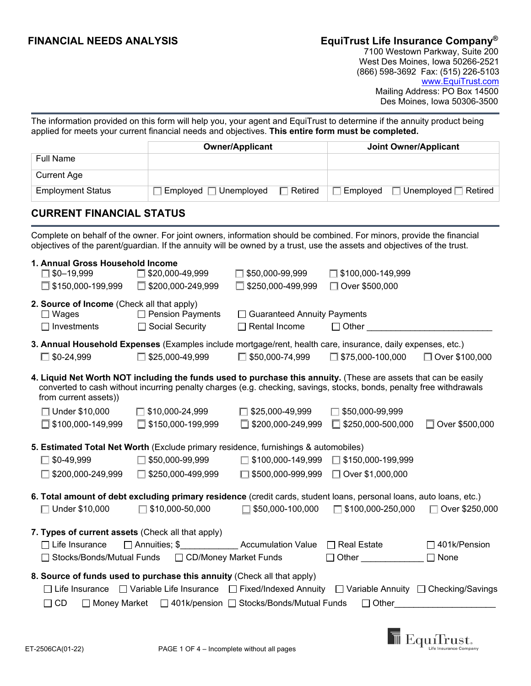# **FINANCIAL NEEDS ANALYSIS EquiTrust Life Insurance Company®**

 7100 Westown Parkway, Suite 200 West Des Moines, Iowa 50266-2521 (866) 598-3692 Fax: (515) 226-5103 www.EquiTrust.com Mailing Address: PO Box 14500 Des Moines, Iowa 50306-3500

The information provided on this form will help you, your agent and EquiTrust to determine if the annuity product being applied for meets your current financial needs and objectives. **This entire form must be completed.** 

|                                                                                                                                                                                                                                                                  |                              | <b>Owner/Applicant</b>                                                                                   | <b>Joint Owner/Applicant</b> |                                  |
|------------------------------------------------------------------------------------------------------------------------------------------------------------------------------------------------------------------------------------------------------------------|------------------------------|----------------------------------------------------------------------------------------------------------|------------------------------|----------------------------------|
| <b>Full Name</b>                                                                                                                                                                                                                                                 |                              |                                                                                                          |                              |                                  |
| <b>Current Age</b>                                                                                                                                                                                                                                               |                              |                                                                                                          |                              |                                  |
| <b>Employment Status</b>                                                                                                                                                                                                                                         | $Emploved$ $\Box$ Unemployed | Retired                                                                                                  | Employed                     | $\Box$ Unemployed $\Box$ Retired |
| <b>CURRENT FINANCIAL STATUS</b>                                                                                                                                                                                                                                  |                              |                                                                                                          |                              |                                  |
| Complete on behalf of the owner. For joint owners, information should be combined. For minors, provide the financial<br>objectives of the parent/guardian. If the annuity will be owned by a trust, use the assets and objectives of the trust.                  |                              |                                                                                                          |                              |                                  |
| 1. Annual Gross Household Income                                                                                                                                                                                                                                 |                              |                                                                                                          |                              |                                  |
| $\square$ \$0-19,999                                                                                                                                                                                                                                             | $\Box$ \$20,000-49,999       | $\Box$ \$50,000-99,999                                                                                   | $\Box$ \$100,000-149,999     |                                  |
| $\Box$ \$150,000-199,999                                                                                                                                                                                                                                         | \$200,000-249,999<br>П       | \$250,000-499,999                                                                                        | □ Over \$500,000             |                                  |
| 2. Source of Income (Check all that apply)<br>$\Box$ Wages                                                                                                                                                                                                       | $\Box$ Pension Payments      | <b>Guaranteed Annuity Payments</b>                                                                       |                              |                                  |
| $\Box$ Investments                                                                                                                                                                                                                                               | □ Social Security            | Rental Income                                                                                            | $\Box$ Other                 |                                  |
|                                                                                                                                                                                                                                                                  |                              |                                                                                                          |                              |                                  |
| 3. Annual Household Expenses (Examples include mortgage/rent, health care, insurance, daily expenses, etc.)<br>$\square$ \$0-24,999                                                                                                                              | \$25,000-49,999<br>г         | $\Box$ \$50,000-74,999                                                                                   | $\Box$ \$75,000-100,000      | □ Over \$100,000                 |
| 4. Liquid Net Worth NOT including the funds used to purchase this annuity. (These are assets that can be easily<br>converted to cash without incurring penalty charges (e.g. checking, savings, stocks, bonds, penalty free withdrawals<br>from current assets)) |                              |                                                                                                          |                              |                                  |
| □ Under \$10,000                                                                                                                                                                                                                                                 | $\Box$ \$10,000-24,999       | \$25,000-49,999                                                                                          | \$50,000-99,999              |                                  |
| $\Box$ \$100,000-149,999                                                                                                                                                                                                                                         | \$150,000-199,999<br>Ш       | $\Box$ \$200,000-249,999                                                                                 | \$250,000-500,000<br>$\Box$  | Over \$500,000<br>П              |
| 5. Estimated Total Net Worth (Exclude primary residence, furnishings & automobiles)                                                                                                                                                                              |                              |                                                                                                          |                              |                                  |
| $\Box$ \$0-49,999                                                                                                                                                                                                                                                | \$50,000-99,999              | $\Box$ \$100,000-149,999                                                                                 | $\Box$ \$150,000-199,999     |                                  |
| \$200,000-249,999                                                                                                                                                                                                                                                | \$250,000-499,999            | $\Box$ \$500,000-999,999                                                                                 | □ Over \$1,000,000           |                                  |
| 6. Total amount of debt excluding primary residence (credit cards, student loans, personal loans, auto loans, etc.)                                                                                                                                              |                              |                                                                                                          |                              |                                  |
| $\Box$ Under \$10,000                                                                                                                                                                                                                                            | \$10,000-50,000              | $\Box$ \$50,000-100,000                                                                                  | \$100,000-250,000<br>П       | ◯ Over \$250,000                 |
| 7. Types of current assets (Check all that apply)                                                                                                                                                                                                                |                              |                                                                                                          |                              |                                  |
| $\Box$ Life Insurance                                                                                                                                                                                                                                            |                              | □ Annuities; \$ Accumulation Value □ Real Estate                                                         |                              | $\Box$ 401k/Pension              |
| □ Stocks/Bonds/Mutual Funds                                                                                                                                                                                                                                      | □ CD/Money Market Funds      |                                                                                                          | □ Other □ None               |                                  |
| 8. Source of funds used to purchase this annuity (Check all that apply)                                                                                                                                                                                          |                              |                                                                                                          |                              |                                  |
|                                                                                                                                                                                                                                                                  |                              | □ Life Insurance □ Variable Life Insurance □ Fixed/Indexed Annuity □ Variable Annuity □ Checking/Savings |                              |                                  |
| $\Box$ CD                                                                                                                                                                                                                                                        |                              | □ Money Market □ 401k/pension □ Stocks/Bonds/Mutual Funds                                                | $\Box$ Other                 |                                  |

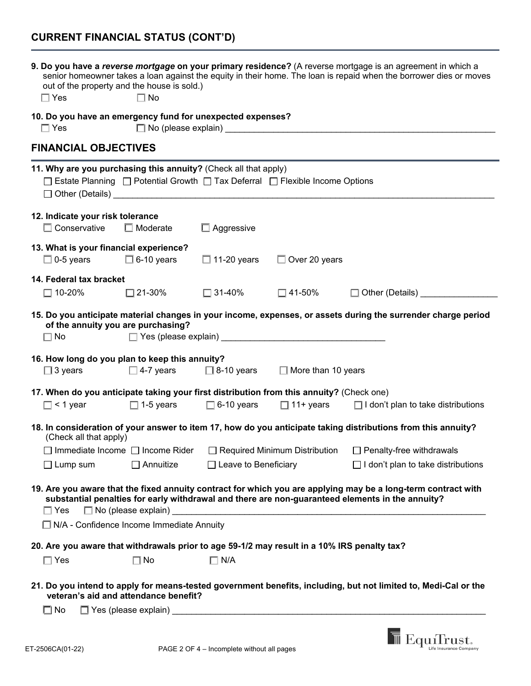# **CURRENT FINANCIAL STATUS (CONT'D)**

| out of the property and the house is sold.)<br>$\Box$ Yes                                                                                        | $\Box$ No                             |                                            |                           | 9. Do you have a reverse mortgage on your primary residence? (A reverse mortgage is an agreement in which a<br>senior homeowner takes a loan against the equity in their home. The loan is repaid when the borrower dies or moves |
|--------------------------------------------------------------------------------------------------------------------------------------------------|---------------------------------------|--------------------------------------------|---------------------------|-----------------------------------------------------------------------------------------------------------------------------------------------------------------------------------------------------------------------------------|
| 10. Do you have an emergency fund for unexpected expenses?<br>$\Box$ Yes                                                                         |                                       | □ No (please explain) No (please explain)  |                           |                                                                                                                                                                                                                                   |
| <b>FINANCIAL OBJECTIVES</b>                                                                                                                      |                                       |                                            |                           |                                                                                                                                                                                                                                   |
| 11. Why are you purchasing this annuity? (Check all that apply)<br>□ Estate Planning □ Potential Growth □ Tax Deferral □ Flexible Income Options |                                       |                                            |                           |                                                                                                                                                                                                                                   |
| 12. Indicate your risk tolerance<br>$\Box$ Conservative                                                                                          | $\Box$ Moderate                       | $\Box$ Aggressive                          |                           |                                                                                                                                                                                                                                   |
| 13. What is your financial experience?<br>$\Box$ 0-5 years $\Box$ 6-10 years                                                                     |                                       | $\Box$ 11-20 years                         | $\Box$ Over 20 years      |                                                                                                                                                                                                                                   |
| 14. Federal tax bracket<br>$\Box$ 10-20%                                                                                                         | $\square$ 21-30%                      | $\Box$ 31-40%                              | $\square$ 41-50%          | □ Other (Details) _______                                                                                                                                                                                                         |
| of the annuity you are purchasing?<br>$\square$ No                                                                                               |                                       | $\Box$ Yes (please explain)                |                           | 15. Do you anticipate material changes in your income, expenses, or assets during the surrender charge period                                                                                                                     |
| 16. How long do you plan to keep this annuity?<br>$\square$ 3 years                                                                              |                                       | $\Box$ 4-7 years $\Box$ 8-10 years         | $\Box$ More than 10 years |                                                                                                                                                                                                                                   |
| 17. When do you anticipate taking your first distribution from this annuity? (Check one)<br>$\Box$ < 1 year                                      | $\Box$ 1-5 years                      |                                            |                           | $\Box$ 6-10 years $\Box$ 11+ years $\Box$ I don't plan to take distributions                                                                                                                                                      |
| (Check all that apply)                                                                                                                           |                                       |                                            |                           | 18. In consideration of your answer to item 17, how do you anticipate taking distributions from this annuity?                                                                                                                     |
|                                                                                                                                                  |                                       |                                            |                           | □ Immediate Income □ Income Rider □ Required Minimum Distribution □ Penalty-free withdrawals                                                                                                                                      |
| $\Box$ Lump sum                                                                                                                                  | $\Box$ Annuitize                      | $\Box$ Leave to Beneficiary                |                           | $\Box$ I don't plan to take distributions                                                                                                                                                                                         |
| $\Box$ Yes<br>$\Box$ N/A - Confidence Income Immediate Annuity                                                                                   |                                       |                                            |                           | 19. Are you aware that the fixed annuity contract for which you are applying may be a long-term contract with<br>substantial penalties for early withdrawal and there are non-guaranteed elements in the annuity?                 |
| 20. Are you aware that withdrawals prior to age 59-1/2 may result in a 10% IRS penalty tax?                                                      |                                       |                                            |                           |                                                                                                                                                                                                                                   |
| $\Box$ Yes                                                                                                                                       | $\Box$ No                             | $\Box$ N/A                                 |                           |                                                                                                                                                                                                                                   |
| $\square$ No                                                                                                                                     | veteran's aid and attendance benefit? |                                            |                           | 21. Do you intend to apply for means-tested government benefits, including, but not limited to, Medi-Cal or the                                                                                                                   |
| T-2506CA(01-22)                                                                                                                                  |                                       | PAGE 2 OF 4 - Incomplete without all pages |                           | EquiTrust.                                                                                                                                                                                                                        |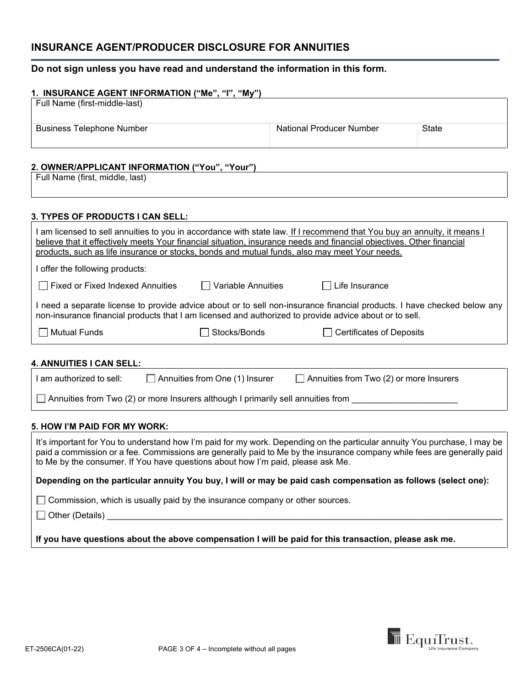# **INSURANCE AGENT/PRODUCER DISCLOSURE FOR ANNUITIES**

### **Do not sign unless you have read and understand the information in this form.**

| 1. INSURANCE AGENT INFORMATION ("Me", "I", "My") |                          |       |
|--------------------------------------------------|--------------------------|-------|
| Full Name (first-middle-last)                    |                          |       |
|                                                  |                          |       |
| <b>Business Telephone Number</b>                 | National Producer Number | State |
|                                                  |                          |       |
|                                                  |                          |       |

### **2. OWNER/APPLICANT INFORMATION ("You", "Your")**

Full Name (first, middle, last)

### **3. TYPES OF PRODUCTS I CAN SELL:**

| l am licensed to sell annuities to you in accordance with state law. <u> If I recommend that You buy an annuity, it means I</u><br>believe that it effectively meets Your financial situation, insurance needs and financial objectives. Other financial<br>products, such as life insurance or stocks, bonds and mutual funds, also may meet Your needs. |                           |                            |  |
|-----------------------------------------------------------------------------------------------------------------------------------------------------------------------------------------------------------------------------------------------------------------------------------------------------------------------------------------------------------|---------------------------|----------------------------|--|
| I offer the following products:                                                                                                                                                                                                                                                                                                                           |                           |                            |  |
| $\Box$ Fixed or Fixed Indexed Annuities                                                                                                                                                                                                                                                                                                                   | $\Box$ Variable Annuities | Life Insurance<br>$\perp$  |  |
| I need a separate license to provide advice about or to sell non-insurance financial products. I have checked below any<br>non-insurance financial products that I am licensed and authorized to provide advice about or to sell.                                                                                                                         |                           |                            |  |
| $\Box$ Mutual Funds                                                                                                                                                                                                                                                                                                                                       | Stocks/Bonds              | □ Certificates of Deposits |  |

### **4. ANNUITIES I CAN SELL:**

| I am authorized to sell: | Annuities from One (1) Insurer                                                   | $\Box$ Annuities from Two (2) or more Insurers |  |
|--------------------------|----------------------------------------------------------------------------------|------------------------------------------------|--|
|                          | Annuities from Two (2) or more Insurers although I primarily sell annuities from |                                                |  |

#### **5. HOW I'M PAID FOR MY WORK:**

It's important for You to understand how I'm paid for my work. Depending on the particular annuity You purchase, I may be paid a commission or a fee. Commissions are generally paid to Me by the insurance company while fees are generally paid to Me by the consumer. If You have questions about how I'm paid, please ask Me. **Depending on the particular annuity You buy, I will or may be paid cash compensation as follows (select one):**

 $\Box$  Commission, which is usually paid by the insurance company or other sources.

 $\Box$  Other (Details)

**If you have questions about the above compensation I will be paid for this transaction, please ask me.**